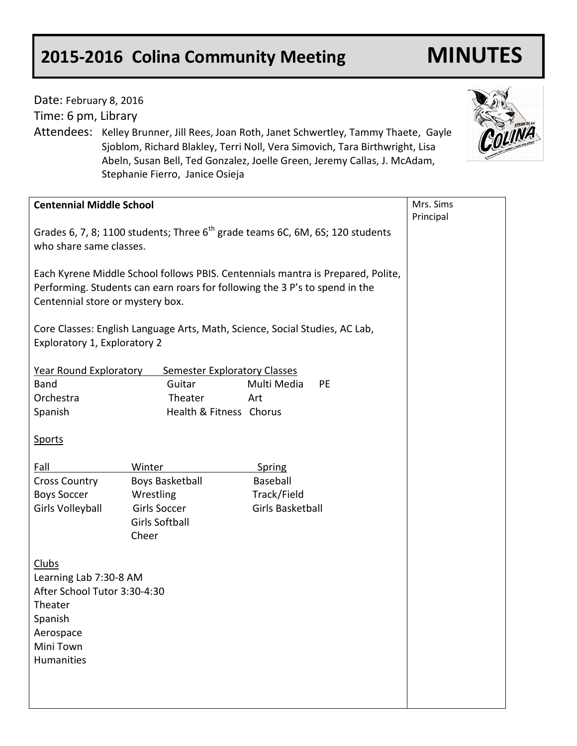## **2015-2016 Colina Community Meeting MINUTES**

Date: February 8, 2016

| Time: 6 pm, Library                                                                                                                                                                                |                                                                                     |                                                                                                                                                                                                                                                   |                        |
|----------------------------------------------------------------------------------------------------------------------------------------------------------------------------------------------------|-------------------------------------------------------------------------------------|---------------------------------------------------------------------------------------------------------------------------------------------------------------------------------------------------------------------------------------------------|------------------------|
|                                                                                                                                                                                                    | Stephanie Fierro, Janice Osieja                                                     | Attendees: Kelley Brunner, Jill Rees, Joan Roth, Janet Schwertley, Tammy Thaete, Gayle<br>Sjoblom, Richard Blakley, Terri Noll, Vera Simovich, Tara Birthwright, Lisa<br>Abeln, Susan Bell, Ted Gonzalez, Joelle Green, Jeremy Callas, J. McAdam, |                        |
| <b>Centennial Middle School</b>                                                                                                                                                                    |                                                                                     |                                                                                                                                                                                                                                                   | Mrs. Sims<br>Principal |
| Grades 6, 7, 8; 1100 students; Three 6 <sup>th</sup> grade teams 6C, 6M, 6S; 120 students<br>who share same classes.                                                                               |                                                                                     |                                                                                                                                                                                                                                                   |                        |
| Each Kyrene Middle School follows PBIS. Centennials mantra is Prepared, Polite,<br>Performing. Students can earn roars for following the 3 P's to spend in the<br>Centennial store or mystery box. |                                                                                     |                                                                                                                                                                                                                                                   |                        |
| Core Classes: English Language Arts, Math, Science, Social Studies, AC Lab,<br>Exploratory 1, Exploratory 2                                                                                        |                                                                                     |                                                                                                                                                                                                                                                   |                        |
| Year Round Exploratory<br>Band<br>Orchestra<br>Spanish                                                                                                                                             | <b>Semester Exploratory Classes</b><br>Guitar<br>Theater<br>Health & Fitness Chorus | Multi Media<br><b>PE</b><br>Art                                                                                                                                                                                                                   |                        |
| <b>Sports</b>                                                                                                                                                                                      |                                                                                     |                                                                                                                                                                                                                                                   |                        |
| Fall                                                                                                                                                                                               | Winter                                                                              | <b>Spring</b>                                                                                                                                                                                                                                     |                        |
| <b>Cross Country</b>                                                                                                                                                                               | <b>Boys Basketball</b>                                                              | Baseball                                                                                                                                                                                                                                          |                        |
| <b>Boys Soccer</b><br><b>Girls Volleyball</b>                                                                                                                                                      | Wrestling<br>Girls Soccer                                                           | Track/Field<br>Girls Basketball                                                                                                                                                                                                                   |                        |
|                                                                                                                                                                                                    | <b>Girls Softball</b><br>Cheer                                                      |                                                                                                                                                                                                                                                   |                        |
| <b>Clubs</b><br>Learning Lab 7:30-8 AM<br>After School Tutor 3:30-4:30<br>Theater<br>Spanish<br>Aerospace<br>Mini Town<br>Humanities                                                               |                                                                                     |                                                                                                                                                                                                                                                   |                        |

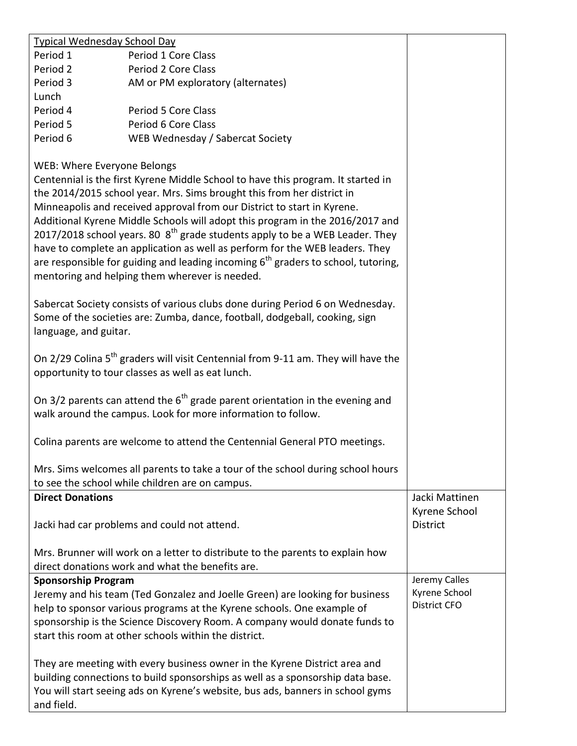| <b>Typical Wednesday School Day</b>                                                                                                                                                                                                                                                                                                                                                                                                                                                                                                                                                                                                                                                                                                                                                                                                                       |                                                                                                                                                                                                                                                |                                  |  |
|-----------------------------------------------------------------------------------------------------------------------------------------------------------------------------------------------------------------------------------------------------------------------------------------------------------------------------------------------------------------------------------------------------------------------------------------------------------------------------------------------------------------------------------------------------------------------------------------------------------------------------------------------------------------------------------------------------------------------------------------------------------------------------------------------------------------------------------------------------------|------------------------------------------------------------------------------------------------------------------------------------------------------------------------------------------------------------------------------------------------|----------------------------------|--|
| Period 1                                                                                                                                                                                                                                                                                                                                                                                                                                                                                                                                                                                                                                                                                                                                                                                                                                                  | Period 1 Core Class                                                                                                                                                                                                                            |                                  |  |
| Period 2                                                                                                                                                                                                                                                                                                                                                                                                                                                                                                                                                                                                                                                                                                                                                                                                                                                  | Period 2 Core Class                                                                                                                                                                                                                            |                                  |  |
| Period 3                                                                                                                                                                                                                                                                                                                                                                                                                                                                                                                                                                                                                                                                                                                                                                                                                                                  | AM or PM exploratory (alternates)                                                                                                                                                                                                              |                                  |  |
| Lunch                                                                                                                                                                                                                                                                                                                                                                                                                                                                                                                                                                                                                                                                                                                                                                                                                                                     |                                                                                                                                                                                                                                                |                                  |  |
| Period 4                                                                                                                                                                                                                                                                                                                                                                                                                                                                                                                                                                                                                                                                                                                                                                                                                                                  | Period 5 Core Class                                                                                                                                                                                                                            |                                  |  |
| Period 5                                                                                                                                                                                                                                                                                                                                                                                                                                                                                                                                                                                                                                                                                                                                                                                                                                                  | Period 6 Core Class                                                                                                                                                                                                                            |                                  |  |
| Period 6                                                                                                                                                                                                                                                                                                                                                                                                                                                                                                                                                                                                                                                                                                                                                                                                                                                  | WEB Wednesday / Sabercat Society                                                                                                                                                                                                               |                                  |  |
| WEB: Where Everyone Belongs<br>Centennial is the first Kyrene Middle School to have this program. It started in<br>the 2014/2015 school year. Mrs. Sims brought this from her district in<br>Minneapolis and received approval from our District to start in Kyrene.<br>Additional Kyrene Middle Schools will adopt this program in the 2016/2017 and<br>2017/2018 school years. 80 $8th$ grade students apply to be a WEB Leader. They<br>have to complete an application as well as perform for the WEB leaders. They<br>are responsible for guiding and leading incoming $6th$ graders to school, tutoring,<br>mentoring and helping them wherever is needed.<br>Sabercat Society consists of various clubs done during Period 6 on Wednesday.<br>Some of the societies are: Zumba, dance, football, dodgeball, cooking, sign<br>language, and guitar. |                                                                                                                                                                                                                                                |                                  |  |
| On 2/29 Colina 5 <sup>th</sup> graders will visit Centennial from 9-11 am. They will have the<br>opportunity to tour classes as well as eat lunch.                                                                                                                                                                                                                                                                                                                                                                                                                                                                                                                                                                                                                                                                                                        |                                                                                                                                                                                                                                                |                                  |  |
| On 3/2 parents can attend the $6th$ grade parent orientation in the evening and<br>walk around the campus. Look for more information to follow.                                                                                                                                                                                                                                                                                                                                                                                                                                                                                                                                                                                                                                                                                                           |                                                                                                                                                                                                                                                |                                  |  |
|                                                                                                                                                                                                                                                                                                                                                                                                                                                                                                                                                                                                                                                                                                                                                                                                                                                           | Colina parents are welcome to attend the Centennial General PTO meetings.                                                                                                                                                                      |                                  |  |
|                                                                                                                                                                                                                                                                                                                                                                                                                                                                                                                                                                                                                                                                                                                                                                                                                                                           | Mrs. Sims welcomes all parents to take a tour of the school during school hours<br>to see the school while children are on campus.                                                                                                             |                                  |  |
| <b>Direct Donations</b>                                                                                                                                                                                                                                                                                                                                                                                                                                                                                                                                                                                                                                                                                                                                                                                                                                   |                                                                                                                                                                                                                                                | Jacki Mattinen                   |  |
|                                                                                                                                                                                                                                                                                                                                                                                                                                                                                                                                                                                                                                                                                                                                                                                                                                                           | Jacki had car problems and could not attend.                                                                                                                                                                                                   | Kyrene School<br><b>District</b> |  |
|                                                                                                                                                                                                                                                                                                                                                                                                                                                                                                                                                                                                                                                                                                                                                                                                                                                           | Mrs. Brunner will work on a letter to distribute to the parents to explain how                                                                                                                                                                 |                                  |  |
|                                                                                                                                                                                                                                                                                                                                                                                                                                                                                                                                                                                                                                                                                                                                                                                                                                                           | direct donations work and what the benefits are.                                                                                                                                                                                               |                                  |  |
| <b>Sponsorship Program</b>                                                                                                                                                                                                                                                                                                                                                                                                                                                                                                                                                                                                                                                                                                                                                                                                                                |                                                                                                                                                                                                                                                | Jeremy Calles                    |  |
|                                                                                                                                                                                                                                                                                                                                                                                                                                                                                                                                                                                                                                                                                                                                                                                                                                                           | Jeremy and his team (Ted Gonzalez and Joelle Green) are looking for business                                                                                                                                                                   | Kyrene School                    |  |
| help to sponsor various programs at the Kyrene schools. One example of                                                                                                                                                                                                                                                                                                                                                                                                                                                                                                                                                                                                                                                                                                                                                                                    |                                                                                                                                                                                                                                                | <b>District CFO</b>              |  |
|                                                                                                                                                                                                                                                                                                                                                                                                                                                                                                                                                                                                                                                                                                                                                                                                                                                           | sponsorship is the Science Discovery Room. A company would donate funds to                                                                                                                                                                     |                                  |  |
| start this room at other schools within the district.                                                                                                                                                                                                                                                                                                                                                                                                                                                                                                                                                                                                                                                                                                                                                                                                     |                                                                                                                                                                                                                                                |                                  |  |
| and field.                                                                                                                                                                                                                                                                                                                                                                                                                                                                                                                                                                                                                                                                                                                                                                                                                                                | They are meeting with every business owner in the Kyrene District area and<br>building connections to build sponsorships as well as a sponsorship data base.<br>You will start seeing ads on Kyrene's website, bus ads, banners in school gyms |                                  |  |